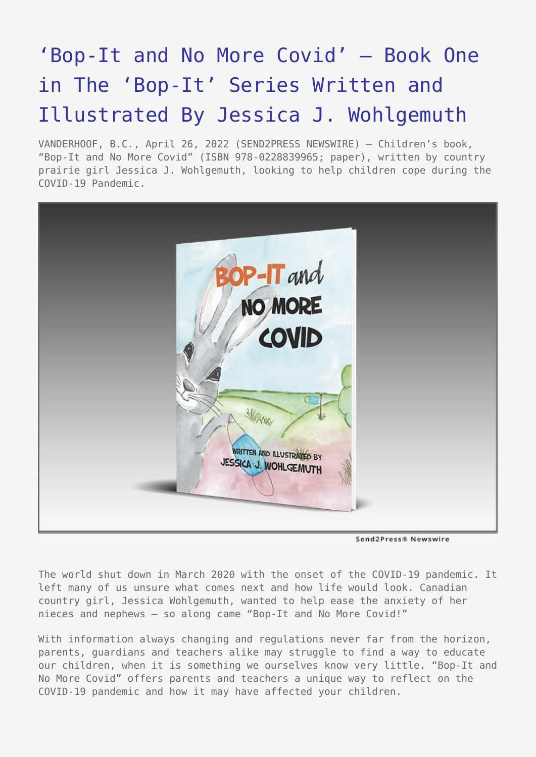## ['Bop-It and No More Covid' – Book One](https://www.send2press.com/wire/bop-it-and-no-more-covid-book-one-in-the-bop-it-series-written-and-illustrated-by-jessica-j-wohlgemuth/) [in The 'Bop-It' Series Written and](https://www.send2press.com/wire/bop-it-and-no-more-covid-book-one-in-the-bop-it-series-written-and-illustrated-by-jessica-j-wohlgemuth/) [Illustrated By Jessica J. Wohlgemuth](https://www.send2press.com/wire/bop-it-and-no-more-covid-book-one-in-the-bop-it-series-written-and-illustrated-by-jessica-j-wohlgemuth/)

VANDERHOOF, B.C., April 26, 2022 (SEND2PRESS NEWSWIRE) — Children's book, "Bop-It and No More Covid" (ISBN 978-0228839965; paper), written by country prairie girl Jessica J. Wohlgemuth, looking to help children cope during the COVID-19 Pandemic.



Send2Press® Newswire

The world shut down in March 2020 with the onset of the COVID-19 pandemic. It left many of us unsure what comes next and how life would look. Canadian country girl, Jessica Wohlgemuth, wanted to help ease the anxiety of her nieces and nephews – so along came "Bop-It and No More Covid!"

With information always changing and regulations never far from the horizon, parents, guardians and teachers alike may struggle to find a way to educate our children, when it is something we ourselves know very little. "Bop-It and No More Covid" offers parents and teachers a unique way to reflect on the COVID-19 pandemic and how it may have affected your children.